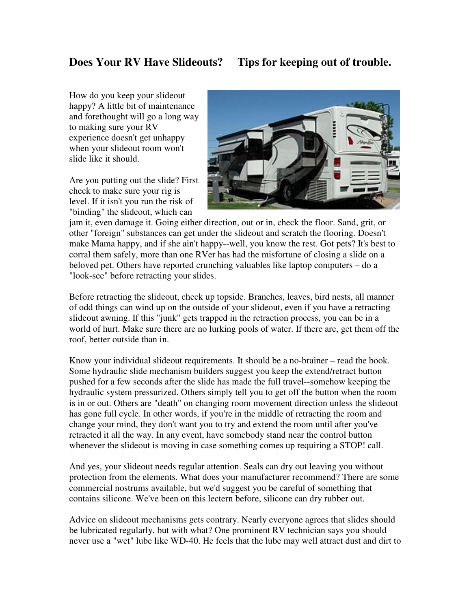How do you keep your slideout happy? A little bit of maintenance and forethought will go a long way to making sure your RV experience doesn't get unhappy when your slideout room won't slide like it should.

Are you putting out the slide? First check to make sure your rig is level. If it isn't you run the risk of "binding" the slideout, which can



jam it, even damage it. Going either direction, out or in, check the floor. Sand, grit, or other "foreign" substances can get under the slideout and scratch the flooring. Doesn't make Mama happy, and if she ain't happy--well, you know the rest. Got pets? It's best to corral them safely, more than one RVer has had the misfortune of closing a slide on a beloved pet. Others have reported crunching valuables like laptop computers – do a "look-see" before retracting your slides.

Before retracting the slideout, check up topside. Branches, leaves, bird nests, all manner of odd things can wind up on the outside of your slideout, even if you have a retracting slideout awning. If this "junk" gets trapped in the retraction process, you can be in a world of hurt. Make sure there are no lurking pools of water. If there are, get them off the roof, better outside than in.

Know your individual slideout requirements. It should be a no-brainer – read the book. Some hydraulic slide mechanism builders suggest you keep the extend/retract button pushed for a few seconds after the slide has made the full travel--somehow keeping the hydraulic system pressurized. Others simply tell you to get off the button when the room is in or out. Others are "death" on changing room movement direction unless the slideout has gone full cycle. In other words, if you're in the middle of retracting the room and change your mind, they don't want you to try and extend the room until after you've retracted it all the way. In any event, have somebody stand near the control button whenever the slideout is moving in case something comes up requiring a STOP! call.

And yes, your slideout needs regular attention. Seals can dry out leaving you without protection from the elements. What does your manufacturer recommend? There are some commercial nostrums available, but we'd suggest you be careful of something that contains silicone. We've been on this lectern before, silicone can dry rubber out.

Advice on slideout mechanisms gets contrary. Nearly everyone agrees that slides should be lubricated regularly, but with what? One prominent RV technician says you should never use a "wet" lube like WD-40. He feels that the lube may well attract dust and dirt to

## **Does Your RV Have Slideouts? Tips for keeping out of trouble.**